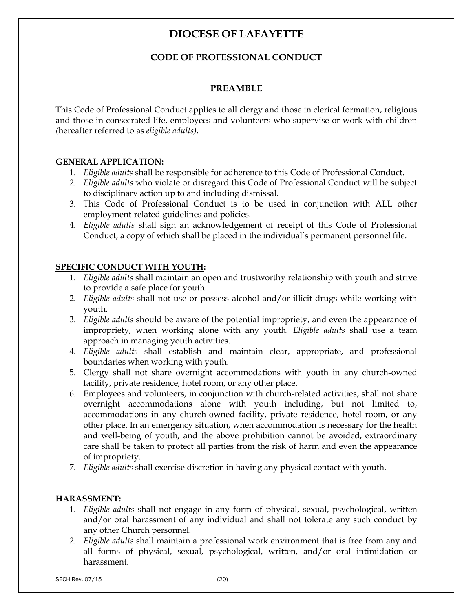# **DIOCESE OF LAFAYETTE**

# **CODE OF PROFESSIONAL CONDUCT**

#### **PREAMBLE**

This Code of Professional Conduct applies to all clergy and those in clerical formation, religious and those in consecrated life, employees and volunteers who supervise or work with children *(*hereafter referred to as *eligible adults).*

#### **GENERAL APPLICATION:**

- 1. *Eligible adults* shall be responsible for adherence to this Code of Professional Conduct.
- 2. *Eligible adults* who violate or disregard this Code of Professional Conduct will be subject to disciplinary action up to and including dismissal.
- 3. This Code of Professional Conduct is to be used in conjunction with ALL other employment-related guidelines and policies.
- 4. *Eligible adults* shall sign an acknowledgement of receipt of this Code of Professional Conduct, a copy of which shall be placed in the individual's permanent personnel file.

#### **SPECIFIC CONDUCT WITH YOUTH:**

- 1. *Eligible adults* shall maintain an open and trustworthy relationship with youth and strive to provide a safe place for youth.
- 2. *Eligible adults* shall not use or possess alcohol and/or illicit drugs while working with youth.
- 3. *Eligible adults* should be aware of the potential impropriety, and even the appearance of impropriety, when working alone with any youth. *Eligible adults* shall use a team approach in managing youth activities.
- 4. *Eligible adults* shall establish and maintain clear, appropriate, and professional boundaries when working with youth.
- 5. Clergy shall not share overnight accommodations with youth in any church-owned facility, private residence, hotel room, or any other place.
- 6. Employees and volunteers, in conjunction with church-related activities, shall not share overnight accommodations alone with youth including, but not limited to, accommodations in any church-owned facility, private residence, hotel room, or any other place. In an emergency situation, when accommodation is necessary for the health and well-being of youth, and the above prohibition cannot be avoided, extraordinary care shall be taken to protect all parties from the risk of harm and even the appearance of impropriety.
- 7. *Eligible adults* shall exercise discretion in having any physical contact with youth.

#### **HARASSMENT:**

- 1. *Eligible adults* shall not engage in any form of physical, sexual, psychological, written and/or oral harassment of any individual and shall not tolerate any such conduct by any other Church personnel.
- 2. *Eligible adults* shall maintain a professional work environment that is free from any and all forms of physical, sexual, psychological, written, and/or oral intimidation or harassment.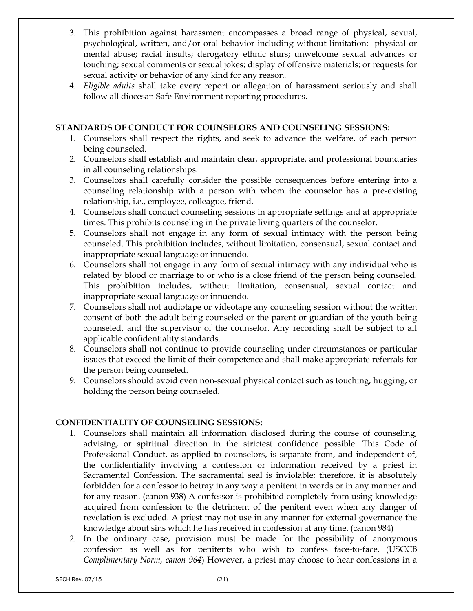- 3. This prohibition against harassment encompasses a broad range of physical, sexual, psychological, written, and/or oral behavior including without limitation: physical or mental abuse; racial insults; derogatory ethnic slurs; unwelcome sexual advances or touching; sexual comments or sexual jokes; display of offensive materials; or requests for sexual activity or behavior of any kind for any reason.
- 4. *Eligible adults* shall take every report or allegation of harassment seriously and shall follow all diocesan Safe Environment reporting procedures.

#### **STANDARDS OF CONDUCT FOR COUNSELORS AND COUNSELING SESSIONS:**

- 1. Counselors shall respect the rights, and seek to advance the welfare, of each person being counseled.
- 2. Counselors shall establish and maintain clear, appropriate, and professional boundaries in all counseling relationships.
- 3. Counselors shall carefully consider the possible consequences before entering into a counseling relationship with a person with whom the counselor has a pre-existing relationship, i.e., employee, colleague, friend.
- 4. Counselors shall conduct counseling sessions in appropriate settings and at appropriate times. This prohibits counseling in the private living quarters of the counselor.
- 5. Counselors shall not engage in any form of sexual intimacy with the person being counseled. This prohibition includes, without limitation, consensual, sexual contact and inappropriate sexual language or innuendo.
- 6. Counselors shall not engage in any form of sexual intimacy with any individual who is related by blood or marriage to or who is a close friend of the person being counseled. This prohibition includes, without limitation, consensual, sexual contact and inappropriate sexual language or innuendo.
- 7. Counselors shall not audiotape or videotape any counseling session without the written consent of both the adult being counseled or the parent or guardian of the youth being counseled, and the supervisor of the counselor. Any recording shall be subject to all applicable confidentiality standards.
- 8. Counselors shall not continue to provide counseling under circumstances or particular issues that exceed the limit of their competence and shall make appropriate referrals for the person being counseled.
- 9. Counselors should avoid even non-sexual physical contact such as touching, hugging, or holding the person being counseled.

### **CONFIDENTIALITY OF COUNSELING SESSIONS:**

- 1. Counselors shall maintain all information disclosed during the course of counseling, advising, or spiritual direction in the strictest confidence possible. This Code of Professional Conduct, as applied to counselors, is separate from, and independent of, the confidentiality involving a confession or information received by a priest in Sacramental Confession. The sacramental seal is inviolable; therefore, it is absolutely forbidden for a confessor to betray in any way a penitent in words or in any manner and for any reason. (canon 938) A confessor is prohibited completely from using knowledge acquired from confession to the detriment of the penitent even when any danger of revelation is excluded. A priest may not use in any manner for external governance the knowledge about sins which he has received in confession at any time. (canon 984)
- 2. In the ordinary case, provision must be made for the possibility of anonymous confession as well as for penitents who wish to confess face-to-face. (USCCB *Complimentary Norm, canon 964*) However, a priest may choose to hear confessions in a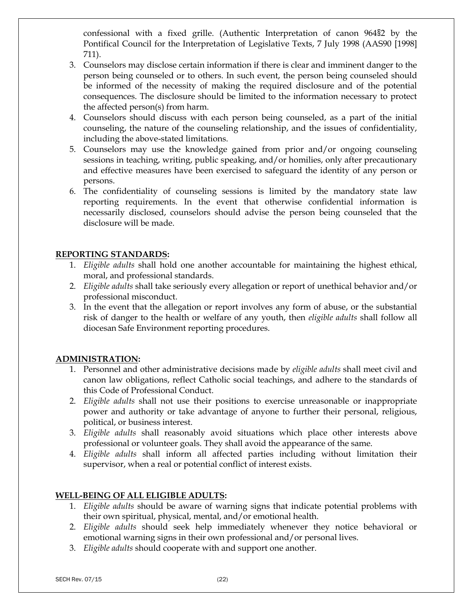confessional with a fixed grille. (Authentic Interpretation of canon 964§2 by the Pontifical Council for the Interpretation of Legislative Texts, 7 July 1998 (AAS90 [1998] 711).

- 3. Counselors may disclose certain information if there is clear and imminent danger to the person being counseled or to others. In such event, the person being counseled should be informed of the necessity of making the required disclosure and of the potential consequences. The disclosure should be limited to the information necessary to protect the affected person(s) from harm.
- 4. Counselors should discuss with each person being counseled, as a part of the initial counseling, the nature of the counseling relationship, and the issues of confidentiality, including the above-stated limitations.
- 5. Counselors may use the knowledge gained from prior and/or ongoing counseling sessions in teaching, writing, public speaking, and/or homilies, only after precautionary and effective measures have been exercised to safeguard the identity of any person or persons.
- 6. The confidentiality of counseling sessions is limited by the mandatory state law reporting requirements. In the event that otherwise confidential information is necessarily disclosed, counselors should advise the person being counseled that the disclosure will be made.

#### **REPORTING STANDARDS:**

- 1. *Eligible adults* shall hold one another accountable for maintaining the highest ethical, moral, and professional standards.
- 2. *Eligible adults* shall take seriously every allegation or report of unethical behavior and/or professional misconduct.
- 3. In the event that the allegation or report involves any form of abuse, or the substantial risk of danger to the health or welfare of any youth, then *eligible adults* shall follow all diocesan Safe Environment reporting procedures.

#### **ADMINISTRATION:**

- 1. Personnel and other administrative decisions made by *eligible adults* shall meet civil and canon law obligations, reflect Catholic social teachings, and adhere to the standards of this Code of Professional Conduct.
- 2. *Eligible adults* shall not use their positions to exercise unreasonable or inappropriate power and authority or take advantage of anyone to further their personal, religious, political, or business interest.
- 3. *Eligible adults* shall reasonably avoid situations which place other interests above professional or volunteer goals. They shall avoid the appearance of the same.
- 4. *Eligible adults* shall inform all affected parties including without limitation their supervisor, when a real or potential conflict of interest exists.

#### **WELL-BEING OF ALL ELIGIBLE ADULTS:**

- 1. *Eligible adults* should be aware of warning signs that indicate potential problems with their own spiritual, physical, mental, and/or emotional health.
- 2. *Eligible adults* should seek help immediately whenever they notice behavioral or emotional warning signs in their own professional and/or personal lives.
- 3. *Eligible adults* should cooperate with and support one another.